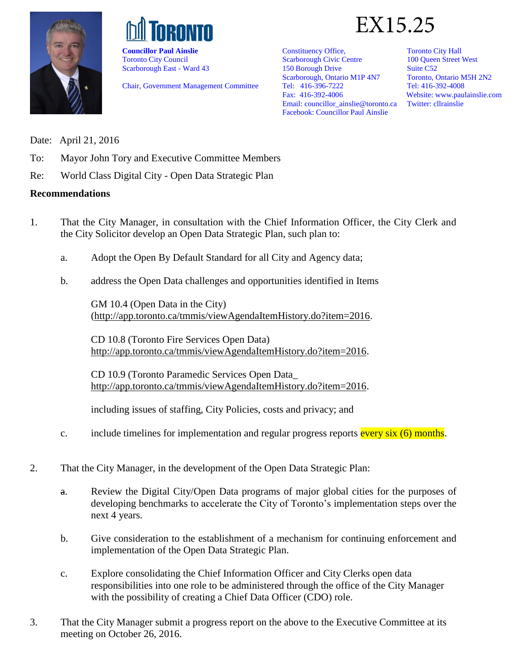



Toronto City Council Scarborough East - Ward 43

Chair, Government Management Committee



Constituency Office, Scarborough Civic Centre 150 Borough Drive Scarborough, Ontario M1P 4N7 Tel: 416-396-7222 Fax: 416-392-4006 Email[: councillor\\_ainslie@toronto.ca](mailto:councillor_ainslie@toronto.ca) Facebook: Councillor Paul Ainslie

Toronto City Hall 100 Queen Street West Suite C52 Toronto, Ontario M5H 2N2 Tel: 416-392-4008 Website[: www.paulainslie.com](http://www.paulainslie.com/) Twitter: cllrainslie

Date: April 21, 2016

- To: Mayor John Tory and Executive Committee Members
- Re: World Class Digital City Open Data Strategic Plan

#### **Recommendations**

- 1. That the City Manager, in consultation with the Chief Information Officer, the City Clerk and the City Solicitor develop an Open Data Strategic Plan, such plan to:
	- a. Adopt the Open By Default Standard for all City and Agency data;
	- b. address the Open Data challenges and opportunities identified in Items

GM 10.4 (Open Data in the City) [\(http://app.toronto.ca/tmmis/viewAgendaItemHistory.do?item=2016.](http://app.toronto.ca/tmmis/viewAgendaItemHistory.do?item=2016)

CD 10.8 (Toronto Fire Services Open Data) [http://app.toronto.ca/tmmis/viewAgendaItemHistory.do?item=2016.](http://app.toronto.ca/tmmis/viewAgendaItemHistory.do?item=2016)

CD 10.9 (Toronto Paramedic Services Open Data\_ [http://app.toronto.ca/tmmis/viewAgendaItemHistory.do?item=2016.](http://app.toronto.ca/tmmis/viewAgendaItemHistory.do?item=2016)

including issues of staffing, City Policies, costs and privacy; and

- c. include timelines for implementation and regular progress reports every  $six$  (6) months.
- 2. That the City Manager, in the development of the Open Data Strategic Plan:
	- a. Review the Digital City/Open Data programs of major global cities for the purposes of developing benchmarks to accelerate the City of Toronto's implementation steps over the next 4 years.
	- b. Give consideration to the establishment of a mechanism for continuing enforcement and implementation of the Open Data Strategic Plan.
	- c. Explore consolidating the Chief Information Officer and City Clerks open data responsibilities into one role to be administered through the office of the City Manager with the possibility of creating a Chief Data Officer (CDO) role.
- 3. That the City Manager submit a progress report on the above to the Executive Committee at its meeting on October 26, 2016.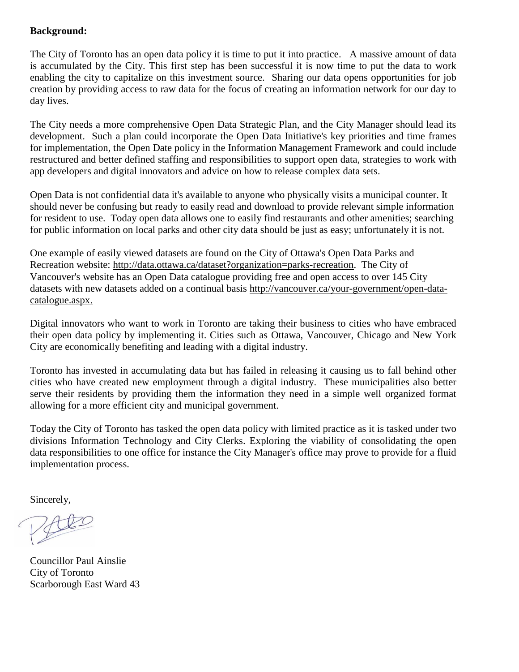### **Background:**

The City of Toronto has an open data policy it is time to put it into practice. A massive amount of data is accumulated by the City. This first step has been successful it is now time to put the data to work enabling the city to capitalize on this investment source. Sharing our data opens opportunities for job creation by providing access to raw data for the focus of creating an information network for our day to day lives.

The City needs a more comprehensive Open Data Strategic Plan, and the City Manager should lead its development. Such a plan could incorporate the Open Data Initiative's key priorities and time frames for implementation, the Open Date policy in the Information Management Framework and could include restructured and better defined staffing and responsibilities to support open data, strategies to work with app developers and digital innovators and advice on how to release complex data sets.

Open Data is not confidential data it's available to anyone who physically visits a municipal counter. It should never be confusing but ready to easily read and download to provide relevant simple information for resident to use. Today open data allows one to easily find restaurants and other amenities; searching for public information on local parks and other city data should be just as easy; unfortunately it is not.

One example of easily viewed datasets are found on the City of Ottawa's Open Data Parks and Recreation website: [http://data.ottawa.ca/dataset?organization=parks-recreation.](http://data.ottawa.ca/dataset?organization=parks-recreation) The City of Vancouver's website has an Open Data catalogue providing free and open access to over 145 City datasets with new datasets added on a continual basis [http://vancouver.ca/your-government/open-data](http://vancouver.ca/your-government/open-data-catalogue.aspx)[catalogue.aspx.](http://vancouver.ca/your-government/open-data-catalogue.aspx)

Digital innovators who want to work in Toronto are taking their business to cities who have embraced their open data policy by implementing it. Cities such as Ottawa, Vancouver, Chicago and New York City are economically benefiting and leading with a digital industry.

Toronto has invested in accumulating data but has failed in releasing it causing us to fall behind other cities who have created new employment through a digital industry. These municipalities also better serve their residents by providing them the information they need in a simple well organized format allowing for a more efficient city and municipal government.

Today the City of Toronto has tasked the open data policy with limited practice as it is tasked under two divisions Information Technology and City Clerks. Exploring the viability of consolidating the open data responsibilities to one office for instance the City Manager's office may prove to provide for a fluid implementation process.

Sincerely,

Councillor Paul Ainslie City of Toronto Scarborough East Ward 43